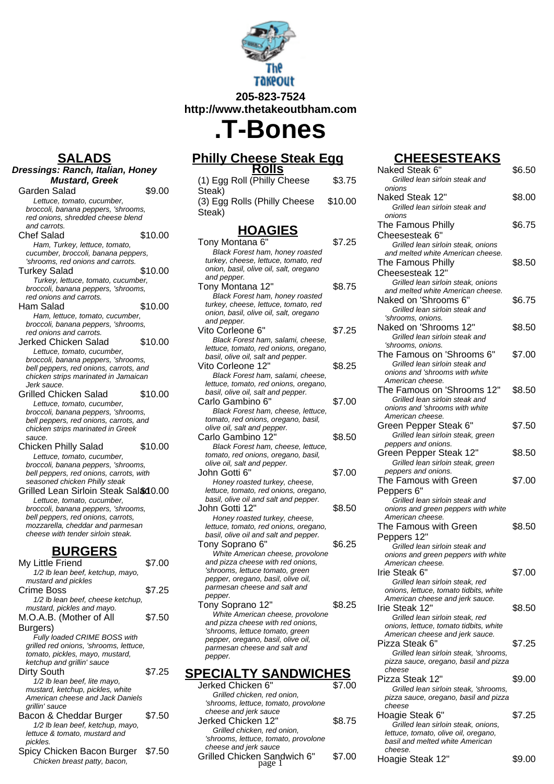

**205-823-7524 http://www.thetakeoutbham.com**

# **.T-Bones**

#### **Philly Cheese Steak Egg Rolls** (1) Egg Roll (Philly Cheese Steak) \$3.75 (3) Egg Rolls (Philly Cheese Steak) \$10.00 **HOAGIES** Tony Montana 6" \$7.25 Black Forest ham, honey roasted turkey, cheese, lettuce, tomato, red onion, basil, olive oil, salt, oregano and pepper. Tony Montana 12" \$8.75 Black Forest ham, honey roasted turkey, cheese, lettuce, tomato, red onion, basil, olive oil, salt, oregano and pepper. Vito Corleone 6" \$7.25 Black Forest ham, salami, cheese, lettuce, tomato, red onions, oregano, basil, olive oil, salt and pepper. Vito Corleone 12" \$8.25 Black Forest ham, salami, cheese, lettuce, tomato, red onions, oregano, basil, olive oil, salt and pepper. Carlo Gambino 6" \$7.00 Black Forest ham, cheese, lettuce, tomato, red onions, oregano, basil, olive oil, salt and pepper. Carlo Gambino 12" \$8.50 Black Forest ham, cheese, lettuce, tomato, red onions, oregano, basil, olive oil, salt and pepper. John Gotti 6" \$7.00 Honey roasted turkey, cheese, lettuce, tomato, red onions, oregano, basil, olive oil and salt and pepper. John Gotti 12" \$8.50 Honey roasted turkey, cheese, lettuce, tomato, red onions, oregano, basil, olive oil and salt and pepper. Tony Soprano 6" \$6.25 White American cheese, provolone and pizza cheese with red onions, 'shrooms, lettuce tomato, green pepper, oregano, basil, olive oil, parmesan cheese and salt and pepper. Tony Soprano 12" \$8.25 White American cheese, provolone and pizza cheese with red onions, 'shrooms, lettuce tomato, green pepper, oregano, basil, olive oil,

### **SPECIALTY SANDWICHES**

parmesan cheese and salt and

pepper.

| Jerked Chicken 6"                    | \$7.00 |
|--------------------------------------|--------|
| Grilled chicken, red onion.          |        |
| 'shrooms, lettuce, tomato, provolone |        |
| cheese and jerk sauce                |        |
| Jerked Chicken 12"                   | \$8.75 |
| Grilled chicken, red onion.          |        |
| 'shrooms, lettuce, tomato, provolone |        |
| cheese and jerk sauce                |        |
| Grilled Chicken Sandwich 6"          | \$7.00 |
|                                      |        |

## **CHEESESTEAKS**

| olls!                                                                       |         | Naked Steak 6"                                                                                                                                         | \$6.50 |
|-----------------------------------------------------------------------------|---------|--------------------------------------------------------------------------------------------------------------------------------------------------------|--------|
| hilly Cheese                                                                | \$3.75  | Grilled lean sirloin steak and<br>onions                                                                                                               |        |
| Philly Cheese                                                               | \$10.00 | Naked Steak 12"<br>Grilled lean sirloin steak and                                                                                                      | \$8.00 |
|                                                                             |         | onions<br>The Famous Philly                                                                                                                            | \$6.75 |
| AGIES<br>ham, honey roasted<br>lettuce, tomato, red<br>e oil, salt, oregano | \$7.25  | Cheesesteak 6"<br>Grilled lean sirloin steak, onions<br>and melted white American cheese.<br>The Famous Philly<br>Cheesesteak 12"                      | \$8.50 |
| 12"<br>ham, honey roasted<br>lettuce, tomato, red<br>e oil, salt, oregano   | \$8.75  | Grilled lean sirloin steak, onions<br>and melted white American cheese.<br>Naked on 'Shrooms 6"<br>Grilled lean sirloin steak and<br>'shrooms, onions. | \$6.75 |
| 6"<br>ham, salami, cheese,                                                  | \$7.25  | Naked on 'Shrooms 12"<br>Grilled lean sirloin steak and<br>'shrooms, onions.                                                                           | \$8.50 |
| red onions, oregano,<br>alt and pepper.<br>12"<br>ham, salami, cheese,      | \$8.25  | The Famous on 'Shrooms 6"<br>Grilled lean sirloin steak and<br>onions and 'shrooms with white                                                          | \$7.00 |
| red onions, oregano,<br>alt and pepper.<br>ა 6"<br>ham, cheese, lettuce,    | \$7.00  | American cheese.<br>The Famous on 'Shrooms 12"<br>Grilled lean sirloin steak and<br>onions and 'shrooms with white                                     | \$8.50 |
| ns, oregano, basil,<br>d pepper.<br>) 12"                                   | \$8.50  | American cheese.<br>Green Pepper Steak 6"<br>Grilled lean sirloin steak, green<br>peppers and onions.                                                  | \$7.50 |
| ham, cheese, lettuce,<br>ns, oregano, basil,<br>d pepper.                   |         | Green Pepper Steak 12"<br>Grilled lean sirloin steak, green                                                                                            | \$8.50 |
| d turkey, cheese,<br>red onions, oregano,<br>nd salt and pepper.            | \$7.00  | peppers and onions.<br>The Famous with Green<br>Peppers 6"<br>Grilled lean sirloin steak and                                                           | \$7.00 |
| d turkey, cheese,<br>red onions, oregano,<br>nd salt and pepper.            | \$8.50  | onions and green peppers with white<br>American cheese.<br>The Famous with Green<br>Peppers 12"                                                        | \$8.50 |
| 6"<br>an cheese, provolone<br>e with red onions,                            | \$6.25  | Grilled lean sirloin steak and<br>onions and green peppers with white<br>American cheese.                                                              |        |
| e tomato, green<br>ว, basil, olive oil,<br>se and salt and                  |         | Irie Steak 6"<br>Grilled lean sirloin steak, red<br>onions, lettuce, tomato tidbits, white<br>American cheese and jerk sauce.                          | \$7.00 |
| 12"<br>an cheese, provolone<br>e with red onions.<br>e tomato, green        | \$8.25  | Irie Steak 12"<br>Grilled lean sirloin steak, red<br>onions, lettuce, tomato tidbits, white<br>American cheese and jerk sauce.                         | \$8.50 |
| ว, basil, olive oil,<br>se and salt and                                     |         | Pizza Steak 6"<br>Grilled lean sirloin steak, 'shrooms,<br>pizza sauce, oregano, basil and pizza<br>cheese                                             | \$7.25 |
| <b>SANDWICHES</b>                                                           |         | Pizza Steak 12"                                                                                                                                        | \$9.00 |
| ი 6"<br>n, red onion,<br>e, tomato, provolone                               | \$7.00  | Grilled lean sirloin steak, 'shrooms,<br>pizza sauce, oregano, basil and pizza<br>cheese                                                               |        |
| sauce<br>n 12"<br>n, red onion,<br>e, tomato, provolone                     | \$8.75  | Hoagie Steak 6"<br>Grilled lean sirloin steak, onions,<br>lettuce, tomato, olive oil, oregano,<br>basil and melted white American                      | \$7.25 |
| sauce<br>າ Sandwich 6"<br>page 1                                            | \$7.00  | cheese.<br>Hoagie Steak 12"                                                                                                                            | \$9.00 |

## **SALADS**

| Dressings: Ranch, Italian, Honey                                              |         |
|-------------------------------------------------------------------------------|---------|
| <b>Mustard, Greek</b>                                                         |         |
| Garden Salad                                                                  | \$9.00  |
| Lettuce, tomato, cucumber,                                                    |         |
| broccoli, banana peppers, 'shrooms,                                           |         |
| red onions, shredded cheese blend                                             |         |
| and carrots.<br><b>Chef Salad</b>                                             |         |
|                                                                               | \$10.00 |
| Ham, Turkey, lettuce, tomato,<br>cucumber, broccoli, banana peppers,          |         |
| 'shrooms, red onions and carrots.                                             |         |
| Turkey Salad                                                                  | \$10.00 |
| Turkey, lettuce, tomato, cucumber,                                            |         |
| broccoli, banana peppers, 'shrooms,                                           |         |
| red onions and carrots.<br>Ham Salad                                          | \$10.00 |
| Ham, lettuce, tomato, cucumber,                                               |         |
| broccoli, banana peppers, 'shrooms,                                           |         |
| red onions and carrots.                                                       |         |
| Jerked Chicken Salad                                                          | \$10.00 |
| Lettuce, tomato, cucumber,                                                    |         |
| broccoli, banana peppers, 'shrooms,<br>bell peppers, red onions, carrots, and |         |
| chicken strips marinated in Jamaican                                          |         |
| Jerk sauce.                                                                   |         |
| Grilled Chicken Salad                                                         | \$10.00 |
| Lettuce, tomato, cucumber,                                                    |         |
| broccoli, banana peppers, 'shrooms,                                           |         |
| bell peppers, red onions, carrots, and<br>chicken strips marinated in Greek   |         |
| sauce.                                                                        |         |
| <b>Chicken Philly Salad</b>                                                   | \$10.00 |
| Lettuce, tomato, cucumber,                                                    |         |
| broccoli, banana peppers, 'shrooms,                                           |         |
| bell peppers, red onions, carrots, with<br>seasoned chicken Philly steak      |         |
| Grilled Lean Sirloin Steak Sal& 10.00                                         |         |
| Lettuce, tomato, cucumber,                                                    |         |
| broccoli, banana peppers, 'shrooms,                                           |         |
| bell peppers, red onions, carrots,                                            |         |
| mozzarella, cheddar and parmesan<br>cheese with tender sirloin steak.         |         |
|                                                                               |         |
| <b>BURGERS</b>                                                                |         |
| My Little Friend                                                              | \$7.00  |
| 1/2 lb lean beef, ketchup, mayo,                                              |         |
| mustard and pickles                                                           |         |
| Crime Boss<br>1/2 lb lean beef, cheese ketchup,                               | \$7.25  |
| mustard, pickles and mayo.                                                    |         |
| M.O.A.B. (Mother of All                                                       | \$7.50  |
| Burgers)                                                                      |         |
| Fully loaded CRIME BOSS with                                                  |         |
| grilled red onions, 'shrooms, lettuce,                                        |         |
| tomato, pickles, mayo, mustard,                                               |         |
| ketchup and grillin' sauce                                                    |         |
| Dirty South                                                                   | \$7.25  |
| 1/2 lb lean beef, lite mayo,<br>mustard, ketchup, pickles, white              |         |
| American cheese and Jack Daniels                                              |         |
| qrillin' sauce                                                                |         |
| Bacon & Cheddar Burger                                                        | \$7.50  |
| 1/2 lb lean beef, ketchup, mayo,                                              |         |
| lettuce & tomato, mustard and                                                 |         |

| pickles. |         |  |  |
|----------|---------|--|--|
|          | <b></b> |  |  |

Spicy Chicken Bacon Burger \$7.50 Chicken breast patty, bacon,